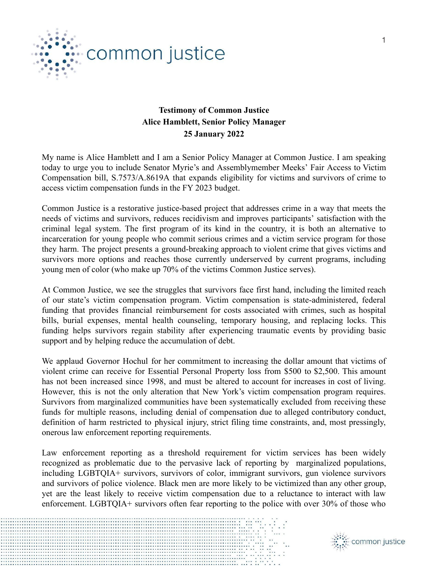

## **Testimony of Common Justice Alice Hamblett, Senior Policy Manager 25 January 2022**

My name is Alice Hamblett and I am a Senior Policy Manager at Common Justice. I am speaking today to urge you to include Senator Myrie's and Assemblymember Meeks' Fair Access to Victim Compensation bill, S.7573/A.8619A that expands eligibility for victims and survivors of crime to access victim compensation funds in the FY 2023 budget.

Common Justice is a restorative justice-based project that addresses crime in a way that meets the needs of victims and survivors, reduces recidivism and improves participants' satisfaction with the criminal legal system. The first program of its kind in the country, it is both an alternative to incarceration for young people who commit serious crimes and a victim service program for those they harm. The project presents a ground-breaking approach to violent crime that gives victims and survivors more options and reaches those currently underserved by current programs, including young men of color (who make up 70% of the victims Common Justice serves).

At Common Justice, we see the struggles that survivors face first hand, including the limited reach of our state's victim compensation program. Victim compensation is state-administered, federal funding that provides financial reimbursement for costs associated with crimes, such as hospital bills, burial expenses, mental health counseling, temporary housing, and replacing locks. This funding helps survivors regain stability after experiencing traumatic events by providing basic support and by helping reduce the accumulation of debt.

We applaud Governor Hochul for her commitment to increasing the dollar amount that victims of violent crime can receive for Essential Personal Property loss from \$500 to \$2,500. This amount has not been increased since 1998, and must be altered to account for increases in cost of living. However, this is not the only alteration that New York's victim compensation program requires. Survivors from marginalized communities have been systematically excluded from receiving these funds for multiple reasons, including denial of compensation due to alleged contributory conduct, definition of harm restricted to physical injury, strict filing time constraints, and, most pressingly, onerous law enforcement reporting requirements.

Law enforcement reporting as a threshold requirement for victim services has been widely recognized as problematic due to the pervasive lack of reporting by marginalized populations, including LGBTQIA+ survivors, survivors of color, immigrant survivors, gun violence survivors and survivors of police violence. Black men are more likely to be victimized than any other group, yet are the least likely to receive victim compensation due to a reluctance to interact with law enforcement. LGBTQIA+ survivors often fear reporting to the police with over 30% of those who